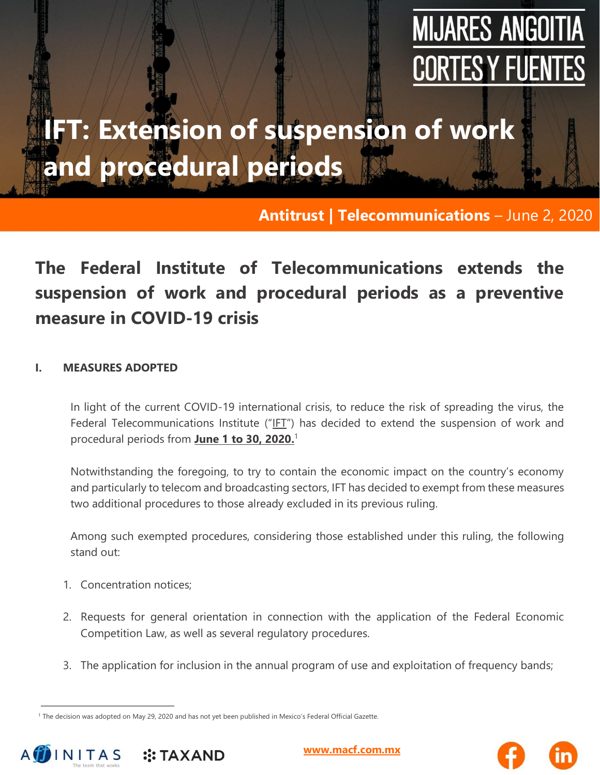# **MIJARES ANGOITIA CORTES Y FUENTE**

## **IFT: Extension of suspension of work and procedural periods**

#### **Antitrust | Telecommunications** – June 2, 2020

### **The Federal Institute of Telecommunications extends the suspension of work and procedural periods as a preventive measure in COVID-19 crisis**

#### **I. MEASURES ADOPTED**

In light of the current COVID-19 international crisis, to reduce the risk of spreading the virus, the Federal Telecommunications Institute ("IFT") has decided to extend the suspension of work and procedural periods from **June 1 to 30, 2020.** 1

Notwithstanding the foregoing, to try to contain the economic impact on the country's economy and particularly to telecom and broadcasting sectors, IFT has decided to exempt from these measures two additional procedures to those already excluded in its previous ruling.

Among such exempted procedures, considering those established under this ruling, the following stand out:

- 1. Concentration notices;
- 2. Requests for general orientation in connection with the application of the Federal Economic Competition Law, as well as several regulatory procedures.
- 3. The application for inclusion in the annual program of use and exploitation of frequency bands;

<sup>&</sup>lt;sup>1</sup> The decision was adopted on May 29, 2020 and has not yet been published in Mexico's Federal Official Gazette.